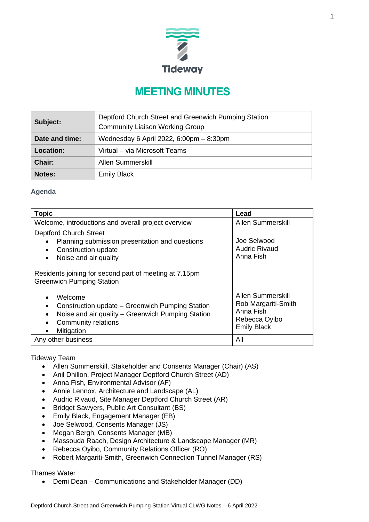

# **MEETING MINUTES**

| Subject:       | Deptford Church Street and Greenwich Pumping Station<br><b>Community Liaison Working Group</b> |
|----------------|------------------------------------------------------------------------------------------------|
| Date and time: | Wednesday 6 April 2022, 6:00pm - 8:30pm                                                        |
| Location:      | Virtual - via Microsoft Teams                                                                  |
| <b>Chair:</b>  | <b>Allen Summerskill</b>                                                                       |
| <b>Notes:</b>  | <b>Emily Black</b>                                                                             |

## **Agenda**

| <b>Topic</b>                                                                                                                                                                                     | Lead                                                                                         |  |  |
|--------------------------------------------------------------------------------------------------------------------------------------------------------------------------------------------------|----------------------------------------------------------------------------------------------|--|--|
| Welcome, introductions and overall project overview                                                                                                                                              | Allen Summerskill                                                                            |  |  |
| <b>Deptford Church Street</b><br>Joe Selwood<br>Planning submission presentation and questions<br><b>Audric Rivaud</b><br>Construction update<br>$\bullet$<br>Anna Fish<br>Noise and air quality |                                                                                              |  |  |
| Residents joining for second part of meeting at 7.15pm<br><b>Greenwich Pumping Station</b>                                                                                                       |                                                                                              |  |  |
| Welcome<br>Construction update – Greenwich Pumping Station<br>Noise and air quality – Greenwich Pumping Station<br>Community relations<br>Mitigation                                             | Allen Summerskill<br>Rob Margariti-Smith<br>Anna Fish<br>Rebecca Oyibo<br><b>Emily Black</b> |  |  |
| Any other business                                                                                                                                                                               | All                                                                                          |  |  |

Tideway Team

- Allen Summerskill, Stakeholder and Consents Manager (Chair) (AS)
- Anil Dhillon, Project Manager Deptford Church Street (AD)
- Anna Fish, Environmental Advisor (AF)
- Annie Lennox, Architecture and Landscape (AL)
- Audric Rivaud, Site Manager Deptford Church Street (AR)
- Bridget Sawyers, Public Art Consultant (BS)
- Emily Black, Engagement Manager (EB)
- Joe Selwood, Consents Manager (JS)
- Megan Bergh, Consents Manager (MB)
- Massouda Raach, Design Architecture & Landscape Manager (MR)
- Rebecca Oyibo, Community Relations Officer (RO)
- Robert Margariti-Smith, Greenwich Connection Tunnel Manager (RS)

Thames Water

• Demi Dean – Communications and Stakeholder Manager (DD)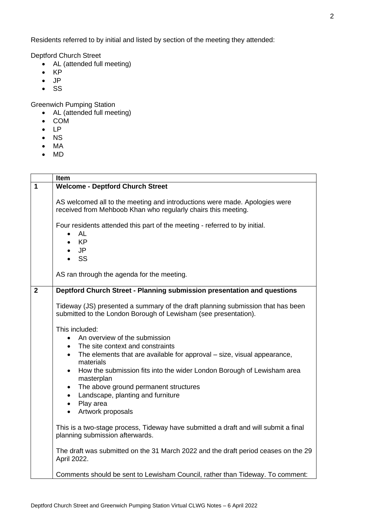Residents referred to by initial and listed by section of the meeting they attended:

Deptford Church Street

- AL (attended full meeting)
- KP
- JP
- SS

Greenwich Pumping Station

- AL (attended full meeting)
- COM
- LP
- NS
- MA
- MD

|              | <b>Item</b>                                                                                                                                                                                                                                                                                                                                                                                                                                                                                                                                                                                                                                                              |  |  |  |
|--------------|--------------------------------------------------------------------------------------------------------------------------------------------------------------------------------------------------------------------------------------------------------------------------------------------------------------------------------------------------------------------------------------------------------------------------------------------------------------------------------------------------------------------------------------------------------------------------------------------------------------------------------------------------------------------------|--|--|--|
| $\mathbf 1$  | <b>Welcome - Deptford Church Street</b>                                                                                                                                                                                                                                                                                                                                                                                                                                                                                                                                                                                                                                  |  |  |  |
|              | AS welcomed all to the meeting and introductions were made. Apologies were<br>received from Mehboob Khan who regularly chairs this meeting.                                                                                                                                                                                                                                                                                                                                                                                                                                                                                                                              |  |  |  |
|              | Four residents attended this part of the meeting - referred to by initial.<br><b>AL</b><br><b>KP</b><br><b>JP</b><br><b>SS</b>                                                                                                                                                                                                                                                                                                                                                                                                                                                                                                                                           |  |  |  |
|              | AS ran through the agenda for the meeting.                                                                                                                                                                                                                                                                                                                                                                                                                                                                                                                                                                                                                               |  |  |  |
| $\mathbf{2}$ | Deptford Church Street - Planning submission presentation and questions                                                                                                                                                                                                                                                                                                                                                                                                                                                                                                                                                                                                  |  |  |  |
|              | Tideway (JS) presented a summary of the draft planning submission that has been<br>submitted to the London Borough of Lewisham (see presentation).                                                                                                                                                                                                                                                                                                                                                                                                                                                                                                                       |  |  |  |
|              | This included:<br>An overview of the submission<br>The site context and constraints<br>The elements that are available for approval – size, visual appearance,<br>materials<br>How the submission fits into the wider London Borough of Lewisham area<br>$\bullet$<br>masterplan<br>The above ground permanent structures<br>$\bullet$<br>• Landscape, planting and furniture<br>Play area<br>$\bullet$<br>Artwork proposals<br>$\bullet$<br>This is a two-stage process, Tideway have submitted a draft and will submit a final<br>planning submission afterwards.<br>The draft was submitted on the 31 March 2022 and the draft period ceases on the 29<br>April 2022. |  |  |  |
|              | Comments should be sent to Lewisham Council, rather than Tideway. To comment:                                                                                                                                                                                                                                                                                                                                                                                                                                                                                                                                                                                            |  |  |  |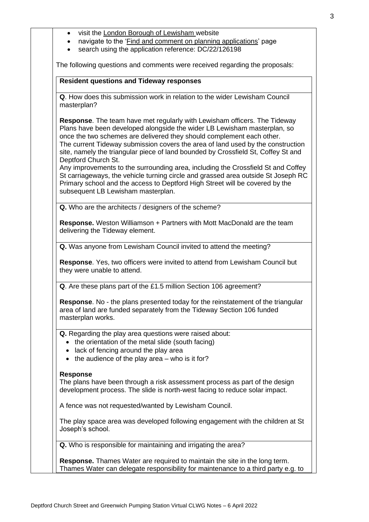- visit the [London Borough of Lewisham w](https://lewisham.gov.uk/)ebsite
- navigate to the ['Find and comment on planning applications'](https://planning.lewisham.gov.uk/online-applications/) page
- search using the application reference: DC/22/126198

The following questions and comments were received regarding the proposals:

#### **Resident questions and Tideway responses**

**Q**. How does this submission work in relation to the wider Lewisham Council masterplan?

**Response**. The team have met regularly with Lewisham officers. The Tideway Plans have been developed alongside the wider LB Lewisham masterplan, so once the two schemes are delivered they should complement each other. The current Tideway submission covers the area of land used by the construction site, namely the triangular piece of land bounded by Crossfield St, Coffey St and Deptford Church St.

Any improvements to the surrounding area, including the Crossfield St and Coffey St carriageways, the vehicle turning circle and grassed area outside St Joseph RC Primary school and the access to Deptford High Street will be covered by the subsequent LB Lewisham masterplan.

**Q.** Who are the architects / designers of the scheme?

**Response.** Weston Williamson + Partners with Mott MacDonald are the team delivering the Tideway element.

**Q.** Was anyone from Lewisham Council invited to attend the meeting?

**Response**. Yes, two officers were invited to attend from Lewisham Council but they were unable to attend.

**Q**. Are these plans part of the £1.5 million Section 106 agreement?

**Response**. No - the plans presented today for the reinstatement of the triangular area of land are funded separately from the Tideway Section 106 funded masterplan works.

**Q.** Regarding the play area questions were raised about:

- the orientation of the metal slide (south facing)
- lack of fencing around the play area
- $\bullet$  the audience of the play area who is it for?

#### **Response**

The plans have been through a risk assessment process as part of the design development process. The slide is north-west facing to reduce solar impact.

A fence was not requested/wanted by Lewisham Council.

The play space area was developed following engagement with the children at St Joseph's school.

**Q.** Who is responsible for maintaining and irrigating the area?

**Response.** Thames Water are required to maintain the site in the long term. Thames Water can delegate responsibility for maintenance to a third party e.g. to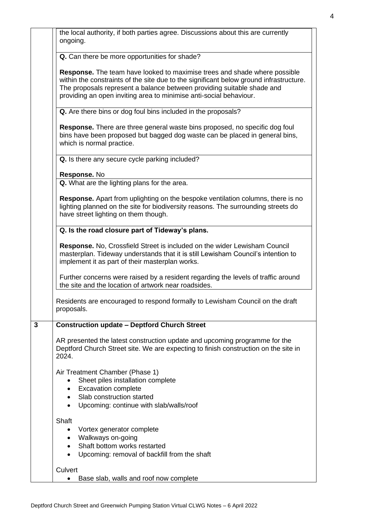| the local authority, if both parties agree. Discussions about this are currently |
|----------------------------------------------------------------------------------|
| ongoing.                                                                         |

**Q.** Can there be more opportunities for shade?

**Response.** The team have looked to maximise trees and shade where possible within the constraints of the site due to the significant below ground infrastructure. The proposals represent a balance between providing suitable shade and providing an open inviting area to minimise anti-social behaviour.

**Q.** Are there bins or dog foul bins included in the proposals?

**Response.** There are three general waste bins proposed, no specific dog foul bins have been proposed but bagged dog waste can be placed in general bins, which is normal practice.

**Q.** Is there any secure cycle parking included?

**Response.** No

**Q.** What are the lighting plans for the area.

**Response.** Apart from uplighting on the bespoke ventilation columns, there is no lighting planned on the site for biodiversity reasons. The surrounding streets do have street lighting on them though.

#### **Q. Is the road closure part of Tideway's plans.**

**Response.** No, Crossfield Street is included on the wider Lewisham Council masterplan. Tideway understands that it is still Lewisham Council's intention to implement it as part of their masterplan works.

Further concerns were raised by a resident regarding the levels of traffic around the site and the location of artwork near roadsides.

Residents are encouraged to respond formally to Lewisham Council on the draft proposals.

### **3 Construction update – Deptford Church Street**

AR presented the latest construction update and upcoming programme for the Deptford Church Street site. We are expecting to finish construction on the site in 2024.

Air Treatment Chamber (Phase 1)

- Sheet piles installation complete
- Excavation complete
- Slab construction started
- Upcoming: continue with slab/walls/roof

**Shaft** 

- Vortex generator complete
- Walkways on-going
- Shaft bottom works restarted
- Upcoming: removal of backfill from the shaft

#### **Culvert**

• Base slab, walls and roof now complete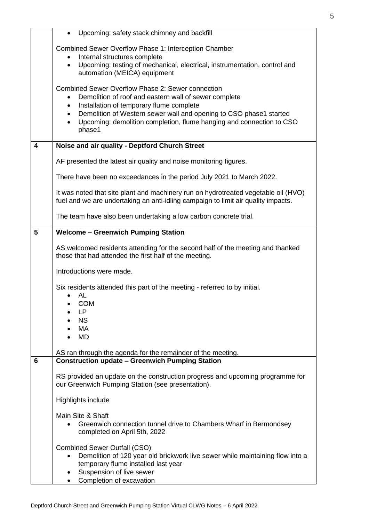|   | Upcoming: safety stack chimney and backfill<br>$\bullet$                                                                                                                |  |  |  |  |
|---|-------------------------------------------------------------------------------------------------------------------------------------------------------------------------|--|--|--|--|
|   | Combined Sewer Overflow Phase 1: Interception Chamber                                                                                                                   |  |  |  |  |
|   | Internal structures complete<br>٠                                                                                                                                       |  |  |  |  |
|   | Upcoming: testing of mechanical, electrical, instrumentation, control and<br>$\bullet$<br>automation (MEICA) equipment                                                  |  |  |  |  |
|   | Combined Sewer Overflow Phase 2: Sewer connection                                                                                                                       |  |  |  |  |
|   | Demolition of roof and eastern wall of sewer complete                                                                                                                   |  |  |  |  |
|   | Installation of temporary flume complete<br>٠<br>Demolition of Western sewer wall and opening to CSO phase1 started<br>$\bullet$                                        |  |  |  |  |
|   | Upcoming: demolition completion, flume hanging and connection to CSO<br>$\bullet$<br>phase1                                                                             |  |  |  |  |
| 4 | Noise and air quality - Deptford Church Street                                                                                                                          |  |  |  |  |
|   | AF presented the latest air quality and noise monitoring figures.                                                                                                       |  |  |  |  |
|   | There have been no exceedances in the period July 2021 to March 2022.                                                                                                   |  |  |  |  |
|   | It was noted that site plant and machinery run on hydrotreated vegetable oil (HVO)<br>fuel and we are undertaking an anti-idling campaign to limit air quality impacts. |  |  |  |  |
|   | The team have also been undertaking a low carbon concrete trial.                                                                                                        |  |  |  |  |
| 5 | <b>Welcome - Greenwich Pumping Station</b>                                                                                                                              |  |  |  |  |
|   | AS welcomed residents attending for the second half of the meeting and thanked<br>those that had attended the first half of the meeting.                                |  |  |  |  |
|   | Introductions were made.                                                                                                                                                |  |  |  |  |
|   | Six residents attended this part of the meeting - referred to by initial.                                                                                               |  |  |  |  |
|   | <b>AL</b><br><b>COM</b>                                                                                                                                                 |  |  |  |  |
|   | LP                                                                                                                                                                      |  |  |  |  |
|   | <b>NS</b>                                                                                                                                                               |  |  |  |  |
|   | MA<br><b>MD</b>                                                                                                                                                         |  |  |  |  |
|   |                                                                                                                                                                         |  |  |  |  |
| 6 | AS ran through the agenda for the remainder of the meeting.<br><b>Construction update - Greenwich Pumping Station</b>                                                   |  |  |  |  |
|   |                                                                                                                                                                         |  |  |  |  |
|   | RS provided an update on the construction progress and upcoming programme for<br>our Greenwich Pumping Station (see presentation).                                      |  |  |  |  |
|   | Highlights include                                                                                                                                                      |  |  |  |  |
|   | Main Site & Shaft                                                                                                                                                       |  |  |  |  |
|   | Greenwich connection tunnel drive to Chambers Wharf in Bermondsey<br>completed on April 5th, 2022                                                                       |  |  |  |  |
|   | <b>Combined Sewer Outfall (CSO)</b>                                                                                                                                     |  |  |  |  |
|   | Demolition of 120 year old brickwork live sewer while maintaining flow into a                                                                                           |  |  |  |  |
|   | temporary flume installed last year<br>Suspension of live sewer                                                                                                         |  |  |  |  |
|   | Completion of excavation                                                                                                                                                |  |  |  |  |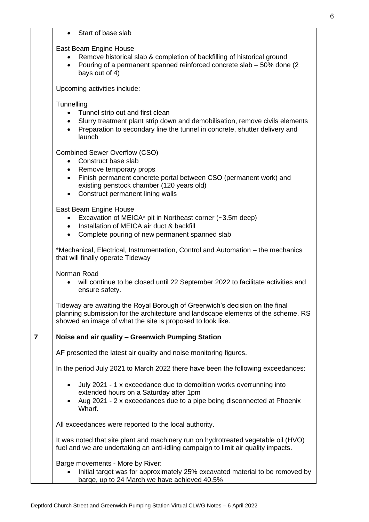|   | Start of base slab                                                                                                                                                                                                                                                                   |
|---|--------------------------------------------------------------------------------------------------------------------------------------------------------------------------------------------------------------------------------------------------------------------------------------|
|   | East Beam Engine House<br>Remove historical slab & completion of backfilling of historical ground<br>Pouring of a permanent spanned reinforced concrete slab - 50% done (2)<br>$\bullet$<br>bays out of 4)                                                                           |
|   | Upcoming activities include:                                                                                                                                                                                                                                                         |
|   | Tunnelling<br>Tunnel strip out and first clean<br>Slurry treatment plant strip down and demobilisation, remove civils elements<br>$\bullet$<br>Preparation to secondary line the tunnel in concrete, shutter delivery and<br>launch                                                  |
|   | <b>Combined Sewer Overflow (CSO)</b><br>Construct base slab<br>$\bullet$<br>• Remove temporary props<br>Finish permanent concrete portal between CSO (permanent work) and<br>$\bullet$<br>existing penstock chamber (120 years old)<br>Construct permanent lining walls<br>$\bullet$ |
|   | East Beam Engine House<br>Excavation of MEICA* pit in Northeast corner (~3.5m deep)<br>Installation of MEICA air duct & backfill<br>Complete pouring of new permanent spanned slab<br>$\bullet$                                                                                      |
|   | *Mechanical, Electrical, Instrumentation, Control and Automation - the mechanics<br>that will finally operate Tideway                                                                                                                                                                |
|   | Norman Road<br>will continue to be closed until 22 September 2022 to facilitate activities and<br>ensure safety.                                                                                                                                                                     |
|   | Tideway are awaiting the Royal Borough of Greenwich's decision on the final<br>planning submission for the architecture and landscape elements of the scheme. RS<br>showed an image of what the site is proposed to look like.                                                       |
| 7 | Noise and air quality - Greenwich Pumping Station                                                                                                                                                                                                                                    |
|   | AF presented the latest air quality and noise monitoring figures.                                                                                                                                                                                                                    |
|   | In the period July 2021 to March 2022 there have been the following exceedances:                                                                                                                                                                                                     |
|   | July 2021 - 1 x exceedance due to demolition works overrunning into<br>extended hours on a Saturday after 1pm<br>Aug 2021 - 2 x exceedances due to a pipe being disconnected at Phoenix<br>Wharf.                                                                                    |
|   | All exceedances were reported to the local authority.                                                                                                                                                                                                                                |
|   | It was noted that site plant and machinery run on hydrotreated vegetable oil (HVO)<br>fuel and we are undertaking an anti-idling campaign to limit air quality impacts.                                                                                                              |
|   | Barge movements - More by River:<br>Initial target was for approximately 25% excavated material to be removed by<br>barge, up to 24 March we have achieved 40.5%                                                                                                                     |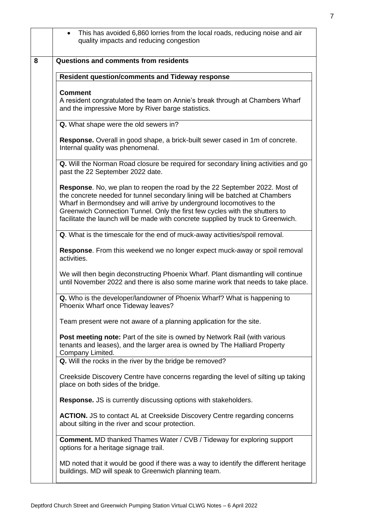|                                                                                                                | This has avoided 6,860 lorries from the local roads, reducing noise and air<br>quality impacts and reducing congestion                                                                                                                                                                                                                                                                                |  |
|----------------------------------------------------------------------------------------------------------------|-------------------------------------------------------------------------------------------------------------------------------------------------------------------------------------------------------------------------------------------------------------------------------------------------------------------------------------------------------------------------------------------------------|--|
|                                                                                                                | <b>Questions and comments from residents</b>                                                                                                                                                                                                                                                                                                                                                          |  |
|                                                                                                                | <b>Resident question/comments and Tideway response</b>                                                                                                                                                                                                                                                                                                                                                |  |
|                                                                                                                | <b>Comment</b><br>A resident congratulated the team on Annie's break through at Chambers Wharf<br>and the impressive More by River barge statistics.                                                                                                                                                                                                                                                  |  |
|                                                                                                                | Q. What shape were the old sewers in?                                                                                                                                                                                                                                                                                                                                                                 |  |
|                                                                                                                | Response. Overall in good shape, a brick-built sewer cased in 1m of concrete.<br>Internal quality was phenomenal.                                                                                                                                                                                                                                                                                     |  |
|                                                                                                                | Q. Will the Norman Road closure be required for secondary lining activities and go<br>past the 22 September 2022 date.                                                                                                                                                                                                                                                                                |  |
|                                                                                                                | Response. No, we plan to reopen the road by the 22 September 2022. Most of<br>the concrete needed for tunnel secondary lining will be batched at Chambers<br>Wharf in Bermondsey and will arrive by underground locomotives to the<br>Greenwich Connection Tunnel. Only the first few cycles with the shutters to<br>facilitate the launch will be made with concrete supplied by truck to Greenwich. |  |
|                                                                                                                | Q. What is the timescale for the end of muck-away activities/spoil removal.                                                                                                                                                                                                                                                                                                                           |  |
|                                                                                                                | Response. From this weekend we no longer expect muck-away or spoil removal<br>activities.                                                                                                                                                                                                                                                                                                             |  |
|                                                                                                                | We will then begin deconstructing Phoenix Wharf. Plant dismantling will continue<br>until November 2022 and there is also some marine work that needs to take place.                                                                                                                                                                                                                                  |  |
| Q. Who is the developer/landowner of Phoenix Wharf? What is happening to<br>Phoenix Wharf once Tideway leaves? |                                                                                                                                                                                                                                                                                                                                                                                                       |  |
| Team present were not aware of a planning application for the site.                                            |                                                                                                                                                                                                                                                                                                                                                                                                       |  |
|                                                                                                                | Post meeting note: Part of the site is owned by Network Rail (with various<br>tenants and leases), and the larger area is owned by The Halliard Property<br>Company Limited.                                                                                                                                                                                                                          |  |
|                                                                                                                | Q. Will the rocks in the river by the bridge be removed?                                                                                                                                                                                                                                                                                                                                              |  |
|                                                                                                                | Creekside Discovery Centre have concerns regarding the level of silting up taking<br>place on both sides of the bridge.                                                                                                                                                                                                                                                                               |  |
|                                                                                                                | <b>Response.</b> JS is currently discussing options with stakeholders.                                                                                                                                                                                                                                                                                                                                |  |
|                                                                                                                | <b>ACTION.</b> JS to contact AL at Creekside Discovery Centre regarding concerns<br>about silting in the river and scour protection.                                                                                                                                                                                                                                                                  |  |
|                                                                                                                | <b>Comment.</b> MD thanked Thames Water / CVB / Tideway for exploring support<br>options for a heritage signage trail.                                                                                                                                                                                                                                                                                |  |
|                                                                                                                | MD noted that it would be good if there was a way to identify the different heritage<br>buildings. MD will speak to Greenwich planning team.                                                                                                                                                                                                                                                          |  |
|                                                                                                                |                                                                                                                                                                                                                                                                                                                                                                                                       |  |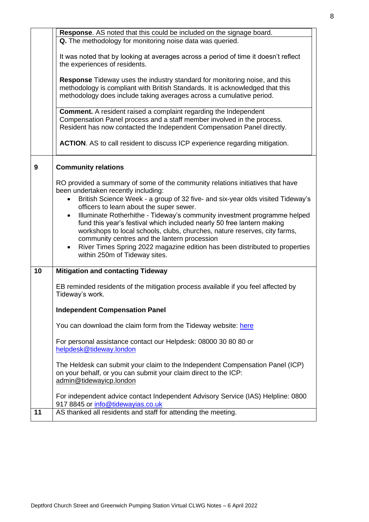|    | Response. AS noted that this could be included on the signage board.                                                                                                                                    |  |  |  |  |
|----|---------------------------------------------------------------------------------------------------------------------------------------------------------------------------------------------------------|--|--|--|--|
|    | Q. The methodology for monitoring noise data was queried.                                                                                                                                               |  |  |  |  |
|    | It was noted that by looking at averages across a period of time it doesn't reflect                                                                                                                     |  |  |  |  |
|    | the experiences of residents.                                                                                                                                                                           |  |  |  |  |
|    | <b>Response</b> Tideway uses the industry standard for monitoring noise, and this<br>methodology is compliant with British Standards. It is acknowledged that this                                      |  |  |  |  |
|    | methodology does include taking averages across a cumulative period.                                                                                                                                    |  |  |  |  |
|    | <b>Comment.</b> A resident raised a complaint regarding the Independent<br>Compensation Panel process and a staff member involved in the process.                                                       |  |  |  |  |
|    | Resident has now contacted the Independent Compensation Panel directly.                                                                                                                                 |  |  |  |  |
|    | <b>ACTION.</b> AS to call resident to discuss ICP experience regarding mitigation.                                                                                                                      |  |  |  |  |
| 9  | <b>Community relations</b>                                                                                                                                                                              |  |  |  |  |
|    | RO provided a summary of some of the community relations initiatives that have<br>been undertaken recently including:<br>British Science Week - a group of 32 five- and six-year olds visited Tideway's |  |  |  |  |
|    | officers to learn about the super sewer.                                                                                                                                                                |  |  |  |  |
|    | Illuminate Rotherhithe - Tideway's community investment programme helped<br>fund this year's festival which included nearly 50 free lantern making                                                      |  |  |  |  |
|    | workshops to local schools, clubs, churches, nature reserves, city farms,                                                                                                                               |  |  |  |  |
|    | community centres and the lantern procession<br>River Times Spring 2022 magazine edition has been distributed to properties                                                                             |  |  |  |  |
|    | within 250m of Tideway sites.                                                                                                                                                                           |  |  |  |  |
| 10 | <b>Mitigation and contacting Tideway</b>                                                                                                                                                                |  |  |  |  |
|    |                                                                                                                                                                                                         |  |  |  |  |
|    | EB reminded residents of the mitigation process available if you feel affected by<br>Tideway's work.                                                                                                    |  |  |  |  |
|    | <b>Independent Compensation Panel</b>                                                                                                                                                                   |  |  |  |  |
|    | You can download the claim form from the Tideway website: here                                                                                                                                          |  |  |  |  |
|    | For personal assistance contact our Helpdesk: 08000 30 80 80 or<br>helpdesk@tideway.london                                                                                                              |  |  |  |  |
|    | The Heldesk can submit your claim to the Independent Compensation Panel (ICP)<br>on your behalf, or you can submit your claim direct to the ICP:<br>admin@tidewayicp.london                             |  |  |  |  |
|    |                                                                                                                                                                                                         |  |  |  |  |
|    | For independent advice contact Independent Advisory Service (IAS) Helpline: 0800<br>917 8845 or info@tidewayias.co.uk                                                                                   |  |  |  |  |
| 11 | AS thanked all residents and staff for attending the meeting.                                                                                                                                           |  |  |  |  |